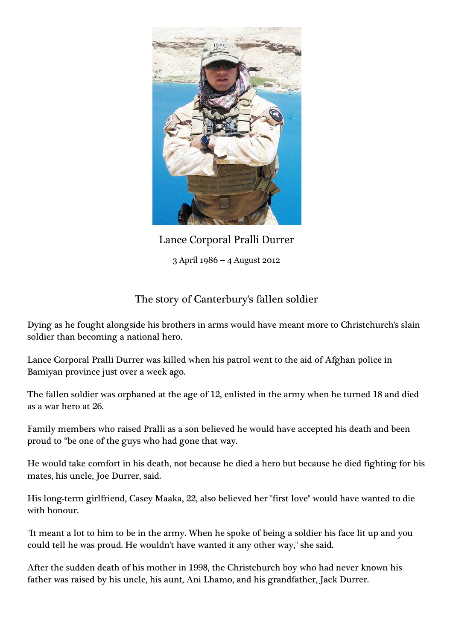

Lance Corporal Pralli Durrer 3 April 1986 – 4 August 2012

## The story of Canterbury's fallen soldier

Dying as he fought alongside his brothers in arms would have meant more to Christchurch's slain soldier than becoming a national hero.

Lance Corporal Pralli Durrer was killed when his patrol went to the aid of Afghan police in Bamiyan province just over a week ago.

The fallen soldier was orphaned at the age of 12, enlisted in the army when he turned 18 and died as a war hero at 26.

Family members who raised Pralli as a son believed he would have accepted his death and been proud to "be one of the guys who had gone that way.

He would take comfort in his death, not because he died a hero but because he died fighting for his mates, his uncle, Joe Durrer, said.

His long-term girlfriend, Casey Maaka, 22, also believed her "first love" would have wanted to die with honour.

"It meant a lot to him to be in the army. When he spoke of being a soldier his face lit up and you could tell he was proud. He wouldn't have wanted it any other way," she said.

After the sudden death of his mother in 1998, the Christchurch boy who had never known his father was raised by his uncle, his aunt, Ani Lhamo, and his grandfather, Jack Durrer.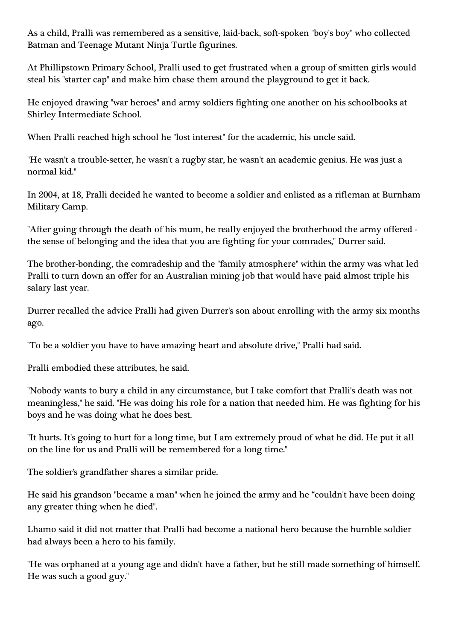As a child, Pralli was remembered as a sensitive, laid-back, soft-spoken "boy's boy" who collected Batman and Teenage Mutant Ninja Turtle figurines.

At Phillipstown Primary School, Pralli used to get frustrated when a group of smitten girls would steal his "starter cap" and make him chase them around the playground to get it back.

He enjoyed drawing "war heroes" and army soldiers fighting one another on his schoolbooks at Shirley Intermediate School.

When Pralli reached high school he "lost interest" for the academic, his uncle said.

"He wasn't a trouble-setter, he wasn't a rugby star, he wasn't an academic genius. He was just a normal kid."

In 2004, at 18, Pralli decided he wanted to become a soldier and enlisted as a rifleman at Burnham Military Camp.

"After going through the death of his mum, he really enjoyed the brotherhood the army offered the sense of belonging and the idea that you are fighting for your comrades," Durrer said.

The brother-bonding, the comradeship and the "family atmosphere" within the army was what led Pralli to turn down an offer for an Australian mining job that would have paid almost triple his salary last year.

Durrer recalled the advice Pralli had given Durrer's son about enrolling with the army six months ago.

"To be a soldier you have to have amazing heart and absolute drive," Pralli had said.

Pralli embodied these attributes, he said.

"Nobody wants to bury a child in any circumstance, but I take comfort that Pralli's death was not meaningless," he said. "He was doing his role for a nation that needed him. He was fighting for his boys and he was doing what he does best.

"It hurts. It's going to hurt for a long time, but I am extremely proud of what he did. He put it all on the line for us and Pralli will be remembered for a long time."

The soldier's grandfather shares a similar pride.

He said his grandson "became a man" when he joined the army and he "couldn't have been doing any greater thing when he died".

Lhamo said it did not matter that Pralli had become a national hero because the humble soldier had always been a hero to his family.

"He was orphaned at a young age and didn't have a father, but he still made something of himself. He was such a good guy."